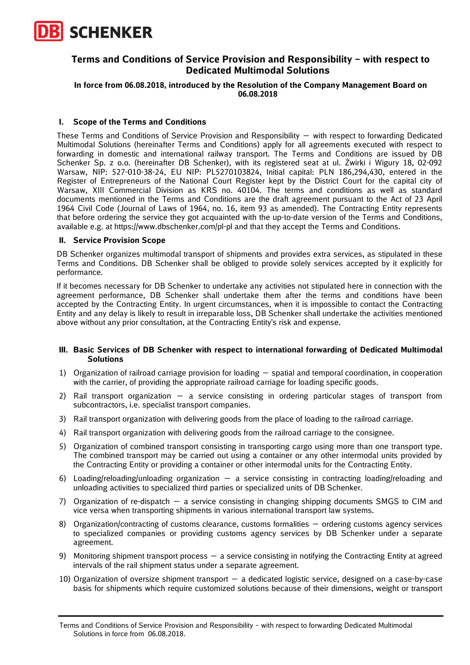

# **Terms and Conditions of Service Provision and Responsibility – with respect to Dedicated Multimodal Solutions**

### **In force from 06.08.2018, introduced by the Resolution of the Company Management Board on 06.08.2018**

### **I. Scope of the Terms and Conditions**

These Terms and Conditions of Service Provision and Responsibility — with respect to forwarding Dedicated Multimodal Solutions (hereinafter Terms and Conditions) apply for all agreements executed with respect to forwarding in domestic and international railway transport. The Terms and Conditions are issued by DB Schenker Sp. z o.o. (hereinafter DB Schenker), with its registered seat at ul. Żwirki i Wigury 18, 02-092 Warsaw, NIP: 527-010-38-24, EU NIP: PL5270103824, Initial capital: PLN 186,294,430, entered in the Register of Entrepreneurs of the National Court Register kept by the District Court for the capital city of Warsaw, XIII Commercial Division as KRS no. 40104. The terms and conditions as well as standard documents mentioned in the Terms and Conditions are the draft agreement pursuant to the Act of 23 April 1964 Civil Code (Journal of Laws of 1964, no. 16, item 93 as amended). The Contracting Entity represents that before ordering the service they got acquainted with the up-to-date version of the Terms and Conditions, available e.g. at https://www.dbschenker.com/pl-pl and that they accept the Terms and Conditions.

#### **II. Service Provision Scope**

DB Schenker organizes multimodal transport of shipments and provides extra services, as stipulated in these Terms and Conditions. DB Schenker shall be obliged to provide solely services accepted by it explicitly for performance.

If it becomes necessary for DB Schenker to undertake any activities not stipulated here in connection with the agreement performance, DB Schenker shall undertake them after the terms and conditions have been accepted by the Contracting Entity. In urgent circumstances, when it is impossible to contact the Contracting Entity and any delay is likely to result in irreparable loss, DB Schenker shall undertake the activities mentioned above without any prior consultation, at the Contracting Entity's risk and expense.

#### **III. Basic Services of DB Schenker with respect to international forwarding of Dedicated Multimodal Solutions**

- 1) Organization of railroad carriage provision for loading spatial and temporal coordination, in cooperation with the carrier, of providing the appropriate railroad carriage for loading specific goods.
- 2) Rail transport organization a service consisting in ordering particular stages of transport from subcontractors, i.e. specialist transport companies.
- 3) Rail transport organization with delivering goods from the place of loading to the railroad carriage.
- 4) Rail transport organization with delivering goods from the railroad carriage to the consignee.
- 5) Organization of combined transport consisting in transporting cargo using more than one transport type. The combined transport may be carried out using a container or any other intermodal units provided by the Contracting Entity or providing a container or other intermodal units for the Contracting Entity.
- 6) Loading/reloading/unloading organization a service consisting in contracting loading/reloading and unloading activities to specialized third parties or specialized units of DB Schenker.
- 7) Organization of re-dispatch a service consisting in changing shipping documents SMGS to CIM and vice versa when transporting shipments in various international transport law systems.
- 8) Organization/contracting of customs clearance, customs formalities ordering customs agency services to specialized companies or providing customs agency services by DB Schenker under a separate agreement.
- 9) Monitoring shipment transport process a service consisting in notifying the Contracting Entity at agreed intervals of the rail shipment status under a separate agreement.
- 10) Organization of oversize shipment transport a dedicated logistic service, designed on a case-by-case basis for shipments which require customized solutions because of their dimensions, weight or transport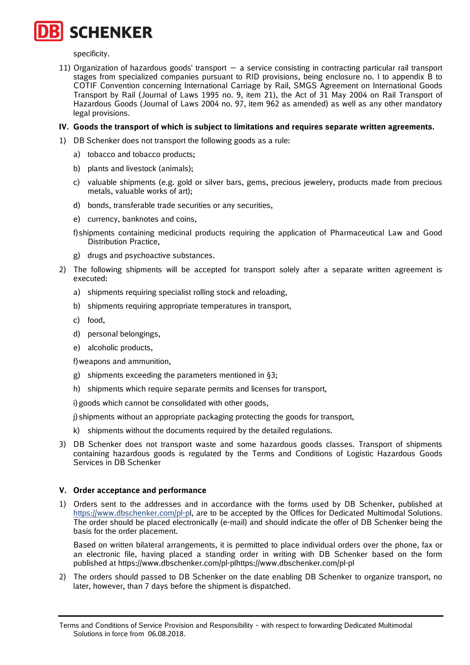specificity.

11) Organization of hazardous goods' transport — a service consisting in contracting particular rail transport stages from specialized companies pursuant to RID provisions, being enclosure no. I to appendix B to COTIF Convention concerning International Carriage by Rail, SMGS Agreement on International Goods Transport by Rail (Journal of Laws 1995 no. 9, item 21), the Act of 31 May 2004 on Rail Transport of Hazardous Goods (Journal of Laws 2004 no. 97, item 962 as amended) as well as any other mandatory legal provisions.

# **IV. Goods the transport of which is subject to limitations and requires separate written agreements.**

- 1) DB Schenker does not transport the following goods as a rule:
	- a) tobacco and tobacco products;
	- b) plants and livestock (animals);
	- c) valuable shipments (e.g. gold or silver bars, gems, precious jewelery, products made from precious metals, valuable works of art);
	- d) bonds, transferable trade securities or any securities,
	- e) currency, banknotes and coins,
	- f)shipments containing medicinal products requiring the application of Pharmaceutical Law and Good Distribution Practice,
	- g) drugs and psychoactive substances.
- 2) The following shipments will be accepted for transport solely after a separate written agreement is executed:
	- a) shipments requiring specialist rolling stock and reloading,
	- b) shipments requiring appropriate temperatures in transport,
	- c) food,
	- d) personal belongings,
	- e) alcoholic products,

f)weapons and ammunition,

- g) shipments exceeding the parameters mentioned in §3;
- h) shipments which require separate permits and licenses for transport,

i) goods which cannot be consolidated with other goods,

j) shipments without an appropriate packaging protecting the goods for transport,

- k) shipments without the documents required by the detailed regulations.
- 3) DB Schenker does not transport waste and some hazardous goods classes. Transport of shipments containing hazardous goods is regulated by the Terms and Conditions of Logistic Hazardous Goods Services in DB Schenker

# **V. Order acceptance and performance**

1) Orders sent to the addresses and in accordance with the forms used by DB Schenker, published at https://www.dbschenker.com/pl-pl, are to be accepted by the Offices for Dedicated Multimodal Solutions. The order should be placed electronically (e-mail) and should indicate the offer of DB Schenker being the basis for the order placement.

Based on written bilateral arrangements, it is permitted to place individual orders over the phone, fax or an electronic file, having placed a standing order in writing with DB Schenker based on the form published at https://www.dbschenker.com/pl-plhttps://www.dbschenker.com/pl-pl

2) The orders should passed to DB Schenker on the date enabling DB Schenker to organize transport, no later, however, than 7 days before the shipment is dispatched.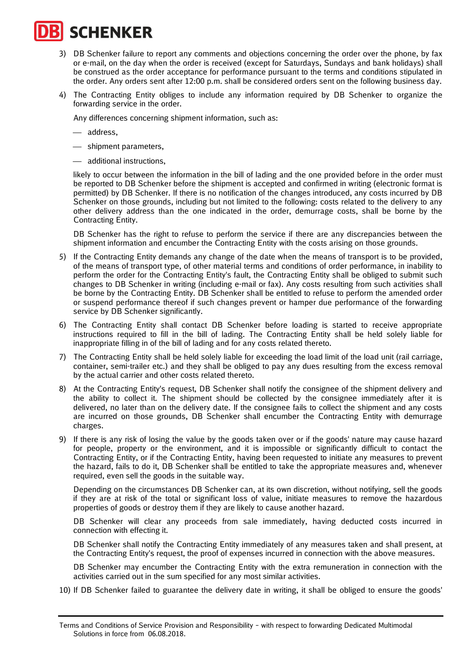

- 3) DB Schenker failure to report any comments and objections concerning the order over the phone, by fax or e-mail, on the day when the order is received (except for Saturdays, Sundays and bank holidays) shall be construed as the order acceptance for performance pursuant to the terms and conditions stipulated in the order. Any orders sent after 12:00 p.m. shall be considered orders sent on the following business day.
- 4) The Contracting Entity obliges to include any information required by DB Schenker to organize the forwarding service in the order.

Any differences concerning shipment information, such as:

- address,
- shipment parameters,
- additional instructions,

likely to occur between the information in the bill of lading and the one provided before in the order must be reported to DB Schenker before the shipment is accepted and confirmed in writing (electronic format is permitted) by DB Schenker. If there is no notification of the changes introduced, any costs incurred by DB Schenker on those grounds, including but not limited to the following: costs related to the delivery to any other delivery address than the one indicated in the order, demurrage costs, shall be borne by the Contracting Entity.

DB Schenker has the right to refuse to perform the service if there are any discrepancies between the shipment information and encumber the Contracting Entity with the costs arising on those grounds.

- 5) If the Contracting Entity demands any change of the date when the means of transport is to be provided, of the means of transport type, of other material terms and conditions of order performance, in inability to perform the order for the Contracting Entity's fault, the Contracting Entity shall be obliged to submit such changes to DB Schenker in writing (including e-mail or fax). Any costs resulting from such activities shall be borne by the Contracting Entity. DB Schenker shall be entitled to refuse to perform the amended order or suspend performance thereof if such changes prevent or hamper due performance of the forwarding service by DB Schenker significantly.
- 6) The Contracting Entity shall contact DB Schenker before loading is started to receive appropriate instructions required to fill in the bill of lading. The Contracting Entity shall be held solely liable for inappropriate filling in of the bill of lading and for any costs related thereto.
- 7) The Contracting Entity shall be held solely liable for exceeding the load limit of the load unit (rail carriage, container, semi-trailer etc.) and they shall be obliged to pay any dues resulting from the excess removal by the actual carrier and other costs related thereto.
- 8) At the Contracting Entity's request, DB Schenker shall notify the consignee of the shipment delivery and the ability to collect it. The shipment should be collected by the consignee immediately after it is delivered, no later than on the delivery date. If the consignee fails to collect the shipment and any costs are incurred on those grounds, DB Schenker shall encumber the Contracting Entity with demurrage charges.
- 9) If there is any risk of losing the value by the goods taken over or if the goods' nature may cause hazard for people, property or the environment, and it is impossible or significantly difficult to contact the Contracting Entity, or if the Contracting Entity, having been requested to initiate any measures to prevent the hazard, fails to do it, DB Schenker shall be entitled to take the appropriate measures and, whenever required, even sell the goods in the suitable way.

Depending on the circumstances DB Schenker can, at its own discretion, without notifying, sell the goods if they are at risk of the total or significant loss of value, initiate measures to remove the hazardous properties of goods or destroy them if they are likely to cause another hazard.

DB Schenker will clear any proceeds from sale immediately, having deducted costs incurred in connection with effecting it.

DB Schenker shall notify the Contracting Entity immediately of any measures taken and shall present, at the Contracting Entity's request, the proof of expenses incurred in connection with the above measures.

DB Schenker may encumber the Contracting Entity with the extra remuneration in connection with the activities carried out in the sum specified for any most similar activities.

10) If DB Schenker failed to guarantee the delivery date in writing, it shall be obliged to ensure the goods'

Terms and Conditions of Service Provision and Responsibility – with respect to forwarding Dedicated Multimodal Solutions in force from 06.08.2018.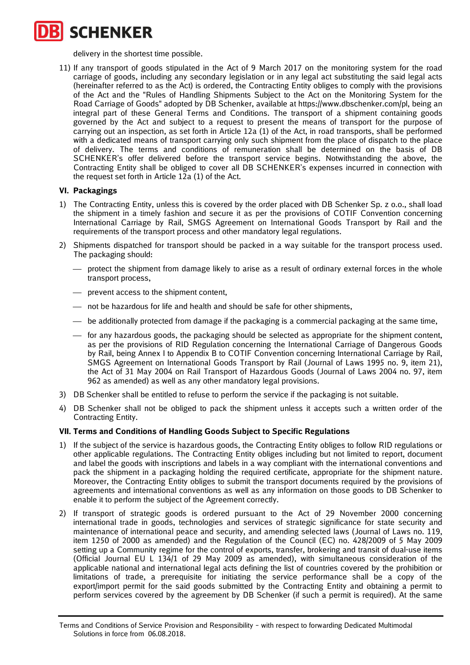delivery in the shortest time possible.

11) If any transport of goods stipulated in the Act of 9 March 2017 on the monitoring system for the road carriage of goods, including any secondary legislation or in any legal act substituting the said legal acts (hereinafter referred to as the Act) is ordered, the Contracting Entity obliges to comply with the provisions of the Act and the "Rules of Handling Shipments Subject to the Act on the Monitoring System for the Road Carriage of Goods" adopted by DB Schenker, available at https://www.dbschenker.com/pl, being an integral part of these General Terms and Conditions. The transport of a shipment containing goods governed by the Act and subject to a request to present the means of transport for the purpose of carrying out an inspection, as set forth in Article 12a (1) of the Act, in road transports, shall be performed with a dedicated means of transport carrying only such shipment from the place of dispatch to the place of delivery. The terms and conditions of remuneration shall be determined on the basis of DB SCHENKER's offer delivered before the transport service begins. Notwithstanding the above, the Contracting Entity shall be obliged to cover all DB SCHENKER's expenses incurred in connection with the request set forth in Article 12a (1) of the Act.

# **VI. Packagings**

- 1) The Contracting Entity, unless this is covered by the order placed with DB Schenker Sp. z o.o., shall load the shipment in a timely fashion and secure it as per the provisions of COTIF Convention concerning International Carriage by Rail, SMGS Agreement on International Goods Transport by Rail and the requirements of the transport process and other mandatory legal regulations.
- 2) Shipments dispatched for transport should be packed in a way suitable for the transport process used. The packaging should:
	- protect the shipment from damage likely to arise as a result of ordinary external forces in the whole transport process,
	- prevent access to the shipment content.
	- not be hazardous for life and health and should be safe for other shipments,
	- be additionally protected from damage if the packaging is a commercial packaging at the same time,
	- for any hazardous goods, the packaging should be selected as appropriate for the shipment content, as per the provisions of RID Regulation concerning the International Carriage of Dangerous Goods by Rail, being Annex I to Appendix B to COTIF Convention concerning International Carriage by Rail, SMGS Agreement on International Goods Transport by Rail (Journal of Laws 1995 no. 9, item 21), the Act of 31 May 2004 on Rail Transport of Hazardous Goods (Journal of Laws 2004 no. 97, item 962 as amended) as well as any other mandatory legal provisions.
- 3) DB Schenker shall be entitled to refuse to perform the service if the packaging is not suitable.
- 4) DB Schenker shall not be obliged to pack the shipment unless it accepts such a written order of the Contracting Entity.

# **VII. Terms and Conditions of Handling Goods Subject to Specific Regulations**

- 1) If the subject of the service is hazardous goods, the Contracting Entity obliges to follow RID regulations or other applicable regulations. The Contracting Entity obliges including but not limited to report, document and label the goods with inscriptions and labels in a way compliant with the international conventions and pack the shipment in a packaging holding the required certificate, appropriate for the shipment nature. Moreover, the Contracting Entity obliges to submit the transport documents required by the provisions of agreements and international conventions as well as any information on those goods to DB Schenker to enable it to perform the subject of the Agreement correctly.
- 2) If transport of strategic goods is ordered pursuant to the Act of 29 November 2000 concerning international trade in goods, technologies and services of strategic significance for state security and maintenance of international peace and security, and amending selected laws (Journal of Laws no. 119, item 1250 of 2000 as amended) and the Regulation of the Council (EC) no. 428/2009 of 5 May 2009 setting up a Community regime for the control of exports, transfer, brokering and transit of dual-use items (Official Journal EU L 134/1 of 29 May 2009 as amended), with simultaneous consideration of the applicable national and international legal acts defining the list of countries covered by the prohibition or limitations of trade, a prerequisite for initiating the service performance shall be a copy of the export/import permit for the said goods submitted by the Contracting Entity and obtaining a permit to perform services covered by the agreement by DB Schenker (if such a permit is required). At the same

Terms and Conditions of Service Provision and Responsibility – with respect to forwarding Dedicated Multimodal Solutions in force from 06.08.2018.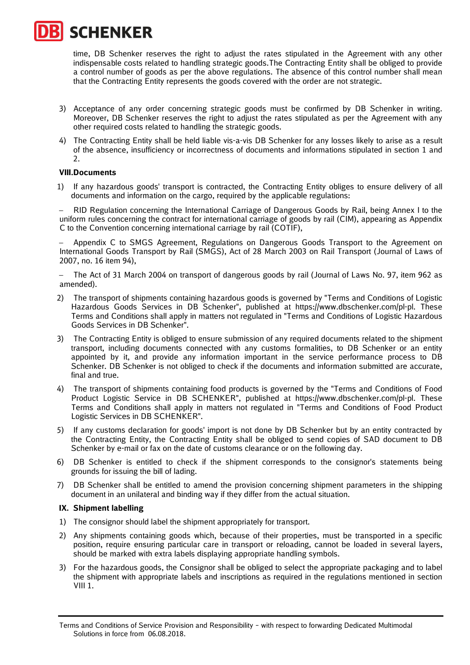

time, DB Schenker reserves the right to adjust the rates stipulated in the Agreement with any other indispensable costs related to handling strategic goods.The Contracting Entity shall be obliged to provide a control number of goods as per the above regulations. The absence of this control number shall mean that the Contracting Entity represents the goods covered with the order are not strategic.

- 3) Acceptance of any order concerning strategic goods must be confirmed by DB Schenker in writing. Moreover, DB Schenker reserves the right to adjust the rates stipulated as per the Agreement with any other required costs related to handling the strategic goods.
- 4) The Contracting Entity shall be held liable vis-a-vis DB Schenker for any losses likely to arise as a result of the absence, insufficiency or incorrectness of documents and informations stipulated in section 1 and  $2<sub>1</sub>$

#### **VIII.Documents**

1) If any hazardous goods' transport is contracted, the Contracting Entity obliges to ensure delivery of all documents and information on the cargo, required by the applicable regulations:

− RID Regulation concerning the International Carriage of Dangerous Goods by Rail, being Annex I to the uniform rules concerning the contract for international carriage of goods by rail (CIM), appearing as Appendix C to the Convention concerning international carriage by rail (COTIF),

Appendix C to SMGS Agreement, Regulations on Dangerous Goods Transport to the Agreement on International Goods Transport by Rail (SMGS), Act of 28 March 2003 on Rail Transport (Journal of Laws of 2007, no. 16 item 94),

− The Act of 31 March 2004 on transport of dangerous goods by rail (Journal of Laws No. 97, item 962 as amended).

- 2) The transport of shipments containing hazardous goods is governed by "Terms and Conditions of Logistic Hazardous Goods Services in DB Schenker", published at https://www.dbschenker.com/pl-pl. These Terms and Conditions shall apply in matters not regulated in "Terms and Conditions of Logistic Hazardous Goods Services in DB Schenker".
- 3) The Contracting Entity is obliged to ensure submission of any required documents related to the shipment transport, including documents connected with any customs formalities, to DB Schenker or an entity appointed by it, and provide any information important in the service performance process to DB Schenker. DB Schenker is not obliged to check if the documents and information submitted are accurate, final and true.
- 4) The transport of shipments containing food products is governed by the "Terms and Conditions of Food Product Logistic Service in DB SCHENKER", published at https://www.dbschenker.com/pl-pl. These Terms and Conditions shall apply in matters not regulated in "Terms and Conditions of Food Product Logistic Services in DB SCHENKER".
- 5) If any customs declaration for goods' import is not done by DB Schenker but by an entity contracted by the Contracting Entity, the Contracting Entity shall be obliged to send copies of SAD document to DB Schenker by e-mail or fax on the date of customs clearance or on the following day.
- 6) DB Schenker is entitled to check if the shipment corresponds to the consignor's statements being grounds for issuing the bill of lading.
- 7) DB Schenker shall be entitled to amend the provision concerning shipment parameters in the shipping document in an unilateral and binding way if they differ from the actual situation.

#### **IX. Shipment labelling**

- 1) The consignor should label the shipment appropriately for transport.
- 2) Any shipments containing goods which, because of their properties, must be transported in a specific position, require ensuring particular care in transport or reloading, cannot be loaded in several layers, should be marked with extra labels displaying appropriate handling symbols.
- 3) For the hazardous goods, the Consignor shall be obliged to select the appropriate packaging and to label the shipment with appropriate labels and inscriptions as required in the regulations mentioned in section  $VIII$  1.

Terms and Conditions of Service Provision and Responsibility – with respect to forwarding Dedicated Multimodal Solutions in force from 06.08.2018.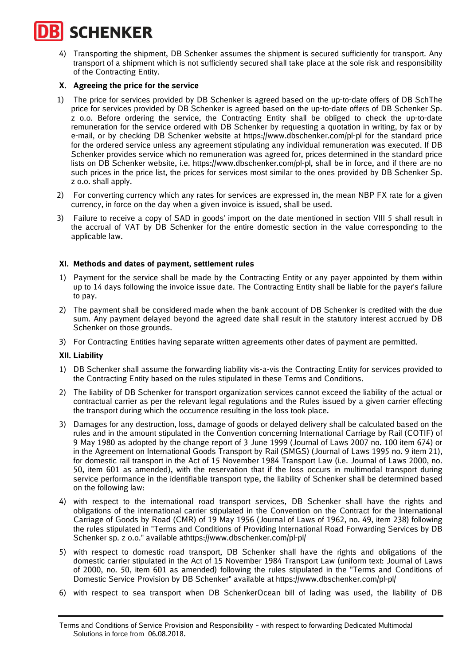4) Transporting the shipment, DB Schenker assumes the shipment is secured sufficiently for transport. Any transport of a shipment which is not sufficiently secured shall take place at the sole risk and responsibility of the Contracting Entity.

# **X. Agreeing the price for the service**

- 1) The price for services provided by DB Schenker is agreed based on the up-to-date offers of DB SchThe price for services provided by DB Schenker is agreed based on the up-to-date offers of DB Schenker Sp. z o.o. Before ordering the service, the Contracting Entity shall be obliged to check the up-to-date remuneration for the service ordered with DB Schenker by requesting a quotation in writing, by fax or by e-mail, or by checking DB Schenker website at https://www.dbschenker.com/pl-pl for the standard price for the ordered service unless any agreement stipulating any individual remuneration was executed. If DB Schenker provides service which no remuneration was agreed for, prices determined in the standard price lists on DB Schenker website, i.e. https://www.dbschenker.com/pl-pl, shall be in force, and if there are no such prices in the price list, the prices for services most similar to the ones provided by DB Schenker Sp. z o.o. shall apply.
- 2) For converting currency which any rates for services are expressed in, the mean NBP FX rate for a given currency, in force on the day when a given invoice is issued, shall be used.
- 3) Failure to receive a copy of SAD in goods' import on the date mentioned in section VIII 5 shall result in the accrual of VAT by DB Schenker for the entire domestic section in the value corresponding to the applicable law.

# **XI. Methods and dates of payment, settlement rules**

- 1) Payment for the service shall be made by the Contracting Entity or any payer appointed by them within up to 14 days following the invoice issue date. The Contracting Entity shall be liable for the payer's failure to pay.
- 2) The payment shall be considered made when the bank account of DB Schenker is credited with the due sum. Any payment delayed beyond the agreed date shall result in the statutory interest accrued by DB Schenker on those grounds.
- 3) For Contracting Entities having separate written agreements other dates of payment are permitted.

# **XII. Liability**

- 1) DB Schenker shall assume the forwarding liability vis-a-vis the Contracting Entity for services provided to the Contracting Entity based on the rules stipulated in these Terms and Conditions.
- 2) The liability of DB Schenker for transport organization services cannot exceed the liability of the actual or contractual carrier as per the relevant legal regulations and the Rules issued by a given carrier effecting the transport during which the occurrence resulting in the loss took place.
- 3) Damages for any destruction, loss, damage of goods or delayed delivery shall be calculated based on the rules and in the amount stipulated in the Convention concerning International Carriage by Rail (COTIF) of 9 May 1980 as adopted by the change report of 3 June 1999 (Journal of Laws 2007 no. 100 item 674) or in the Agreement on International Goods Transport by Rail (SMGS) (Journal of Laws 1995 no. 9 item 21), for domestic rail transport in the Act of 15 November 1984 Transport Law (i.e. Journal of Laws 2000, no. 50, item 601 as amended), with the reservation that if the loss occurs in multimodal transport during service performance in the identifiable transport type, the liability of Schenker shall be determined based on the following law:
- 4) with respect to the international road transport services, DB Schenker shall have the rights and obligations of the international carrier stipulated in the Convention on the Contract for the International Carriage of Goods by Road (CMR) of 19 May 1956 (Journal of Laws of 1962, no. 49, item 238) following the rules stipulated in "Terms and Conditions of Providing International Road Forwarding Services by DB Schenker sp. z o.o." available athttps://www.dbschenker.com/pl-pl/
- 5) with respect to domestic road transport, DB Schenker shall have the rights and obligations of the domestic carrier stipulated in the Act of 15 November 1984 Transport Law (uniform text: Journal of Laws of 2000, no. 50, item 601 as amended) following the rules stipulated in the "Terms and Conditions of Domestic Service Provision by DB Schenker" available at https://www.dbschenker.com/pl-pl/
- 6) with respect to sea transport when DB SchenkerOcean bill of lading was used, the liability of DB

Terms and Conditions of Service Provision and Responsibility – with respect to forwarding Dedicated Multimodal Solutions in force from 06.08.2018.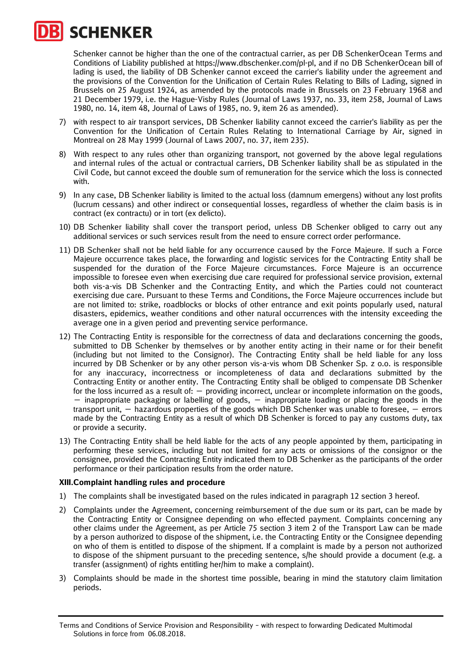Schenker cannot be higher than the one of the contractual carrier, as per DB SchenkerOcean Terms and Conditions of Liability published at https://www.dbschenker.com/pl-pl, and if no DB SchenkerOcean bill of lading is used, the liability of DB Schenker cannot exceed the carrier's liability under the agreement and the provisions of the Convention for the Unification of Certain Rules Relating to Bills of Lading, signed in Brussels on 25 August 1924, as amended by the protocols made in Brussels on 23 February 1968 and 21 December 1979, i.e. the Hague-Visby Rules (Journal of Laws 1937, no. 33, item 258, Journal of Laws 1980, no. 14, item 48, Journal of Laws of 1985, no. 9, item 26 as amended).

- 7) with respect to air transport services, DB Schenker liability cannot exceed the carrier's liability as per the Convention for the Unification of Certain Rules Relating to International Carriage by Air, signed in Montreal on 28 May 1999 (Journal of Laws 2007, no. 37, item 235).
- 8) With respect to any rules other than organizing transport, not governed by the above legal regulations and internal rules of the actual or contractual carriers, DB Schenker liability shall be as stipulated in the Civil Code, but cannot exceed the double sum of remuneration for the service which the loss is connected with.
- 9) In any case, DB Schenker liability is limited to the actual loss (damnum emergens) without any lost profits (lucrum cessans) and other indirect or consequential losses, regardless of whether the claim basis is in contract (ex contractu) or in tort (ex delicto).
- 10) DB Schenker liability shall cover the transport period, unless DB Schenker obliged to carry out any additional services or such services result from the need to ensure correct order performance.
- 11) DB Schenker shall not be held liable for any occurrence caused by the Force Majeure. If such a Force Majeure occurrence takes place, the forwarding and logistic services for the Contracting Entity shall be suspended for the duration of the Force Majeure circumstances. Force Majeure is an occurrence impossible to foresee even when exercising due care required for professional service provision, external both vis-a-vis DB Schenker and the Contracting Entity, and which the Parties could not counteract exercising due care. Pursuant to these Terms and Conditions, the Force Majeure occurrences include but are not limited to: strike, roadblocks or blocks of other entrance and exit points popularly used, natural disasters, epidemics, weather conditions and other natural occurrences with the intensity exceeding the average one in a given period and preventing service performance.
- 12) The Contracting Entity is responsible for the correctness of data and declarations concerning the goods, submitted to DB Schenker by themselves or by another entity acting in their name or for their benefit (including but not limited to the Consignor). The Contracting Entity shall be held liable for any loss incurred by DB Schenker or by any other person vis-a-vis whom DB Schenker Sp. z o.o. is responsible for any inaccuracy, incorrectness or incompleteness of data and declarations submitted by the Contracting Entity or another entity. The Contracting Entity shall be obliged to compensate DB Schenker for the loss incurred as a result of:  $-$  providing incorrect, unclear or incomplete information on the goods,  $-$  inappropriate packaging or labelling of goods,  $-$  inappropriate loading or placing the goods in the transport unit, — hazardous properties of the goods which DB Schenker was unable to foresee, — errors made by the Contracting Entity as a result of which DB Schenker is forced to pay any customs duty, tax or provide a security.
- 13) The Contracting Entity shall be held liable for the acts of any people appointed by them, participating in performing these services, including but not limited for any acts or omissions of the consignor or the consignee, provided the Contracting Entity indicated them to DB Schenker as the participants of the order performance or their participation results from the order nature.

# **XIII.Complaint handling rules and procedure**

- 1) The complaints shall be investigated based on the rules indicated in paragraph 12 section 3 hereof.
- 2) Complaints under the Agreement, concerning reimbursement of the due sum or its part, can be made by the Contracting Entity or Consignee depending on who effected payment. Complaints concerning any other claims under the Agreement, as per Article 75 section 3 item 2 of the Transport Law can be made by a person authorized to dispose of the shipment, i.e. the Contracting Entity or the Consignee depending on who of them is entitled to dispose of the shipment. If a complaint is made by a person not authorized to dispose of the shipment pursuant to the preceding sentence, s/he should provide a document (e.g. a transfer (assignment) of rights entitling her/him to make a complaint).
- 3) Complaints should be made in the shortest time possible, bearing in mind the statutory claim limitation periods.

Terms and Conditions of Service Provision and Responsibility – with respect to forwarding Dedicated Multimodal Solutions in force from 06.08.2018.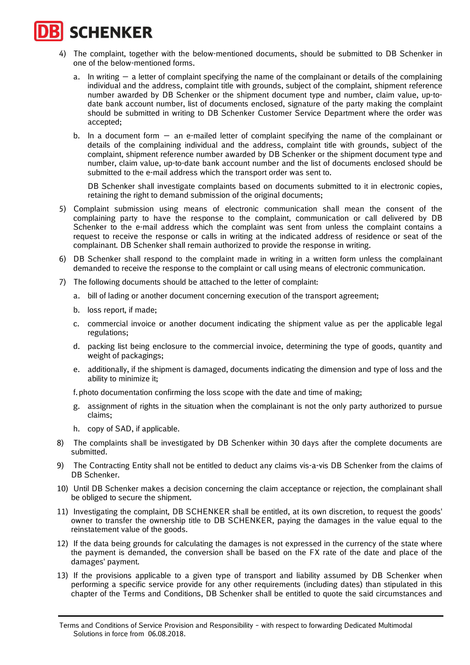- 4) The complaint, together with the below-mentioned documents, should be submitted to DB Schenker in one of the below-mentioned forms.
	- a. In writing  $-$  a letter of complaint specifying the name of the complainant or details of the complaining individual and the address, complaint title with grounds, subject of the complaint, shipment reference number awarded by DB Schenker or the shipment document type and number, claim value, up-todate bank account number, list of documents enclosed, signature of the party making the complaint should be submitted in writing to DB Schenker Customer Service Department where the order was accepted;
	- b. In a document form  $-$  an e-mailed letter of complaint specifying the name of the complainant or details of the complaining individual and the address, complaint title with grounds, subject of the complaint, shipment reference number awarded by DB Schenker or the shipment document type and number, claim value, up-to-date bank account number and the list of documents enclosed should be submitted to the e-mail address which the transport order was sent to.

DB Schenker shall investigate complaints based on documents submitted to it in electronic copies, retaining the right to demand submission of the original documents;

- 5) Complaint submission using means of electronic communication shall mean the consent of the complaining party to have the response to the complaint, communication or call delivered by DB Schenker to the e-mail address which the complaint was sent from unless the complaint contains a request to receive the response or calls in writing at the indicated address of residence or seat of the complainant. DB Schenker shall remain authorized to provide the response in writing.
- 6) DB Schenker shall respond to the complaint made in writing in a written form unless the complainant demanded to receive the response to the complaint or call using means of electronic communication.
- 7) The following documents should be attached to the letter of complaint:
	- a. bill of lading or another document concerning execution of the transport agreement;
	- b. loss report, if made;
	- c. commercial invoice or another document indicating the shipment value as per the applicable legal regulations;
	- d. packing list being enclosure to the commercial invoice, determining the type of goods, quantity and weight of packagings;
	- e. additionally, if the shipment is damaged, documents indicating the dimension and type of loss and the ability to minimize it;

f. photo documentation confirming the loss scope with the date and time of making;

- g. assignment of rights in the situation when the complainant is not the only party authorized to pursue claims;
- h. copy of SAD, if applicable.
- 8) The complaints shall be investigated by DB Schenker within 30 days after the complete documents are submitted.
- 9) The Contracting Entity shall not be entitled to deduct any claims vis-a-vis DB Schenker from the claims of DB Schenker.
- 10) Until DB Schenker makes a decision concerning the claim acceptance or rejection, the complainant shall be obliged to secure the shipment.
- 11) Investigating the complaint, DB SCHENKER shall be entitled, at its own discretion, to request the goods' owner to transfer the ownership title to DB SCHENKER, paying the damages in the value equal to the reinstatement value of the goods.
- 12) If the data being grounds for calculating the damages is not expressed in the currency of the state where the payment is demanded, the conversion shall be based on the FX rate of the date and place of the damages' payment.
- 13) If the provisions applicable to a given type of transport and liability assumed by DB Schenker when performing a specific service provide for any other requirements (including dates) than stipulated in this chapter of the Terms and Conditions, DB Schenker shall be entitled to quote the said circumstances and

Terms and Conditions of Service Provision and Responsibility – with respect to forwarding Dedicated Multimodal Solutions in force from 06.08.2018.